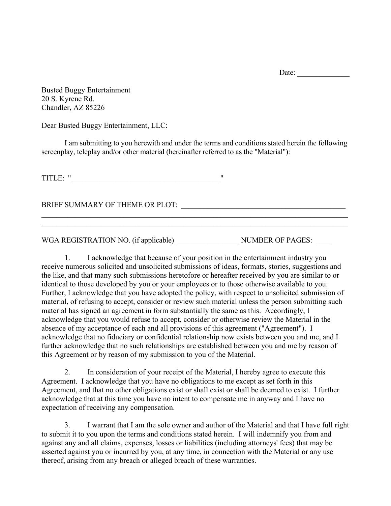Date:

Busted Buggy Entertainment 20 S. Kyrene Rd. Chandler, AZ 85226

Dear Busted Buggy Entertainment, LLC:

I am submitting to you herewith and under the terms and conditions stated herein the following screenplay, teleplay and/or other material (hereinafter referred to as the "Material"):

 $\_$  , and the contribution of the contribution of the contribution of the contribution of  $\mathcal{L}_\text{max}$  $\_$  , and the contribution of the contribution of the contribution of the contribution of  $\mathcal{L}_\text{max}$ 

TITLE: "\_\_\_\_\_\_\_\_\_\_\_\_\_\_\_\_\_\_\_\_\_\_\_\_\_\_\_\_\_\_\_\_\_\_\_\_\_\_\_\_"

BRIEF SUMMARY OF THEME OR PLOT: \_\_\_\_\_\_\_\_\_\_\_\_\_\_\_\_\_\_\_\_\_\_\_\_\_\_\_\_\_\_\_\_\_\_\_\_\_\_\_\_\_\_\_\_

WGA REGISTRATION NO. (if applicable) WOMBER OF PAGES:

1. I acknowledge that because of your position in the entertainment industry you receive numerous solicited and unsolicited submissions of ideas, formats, stories, suggestions and the like, and that many such submissions heretofore or hereafter received by you are similar to or identical to those developed by you or your employees or to those otherwise available to you. Further, I acknowledge that you have adopted the policy, with respect to unsolicited submission of material, of refusing to accept, consider or review such material unless the person submitting such material has signed an agreement in form substantially the same as this. Accordingly, I acknowledge that you would refuse to accept, consider or otherwise review the Material in the absence of my acceptance of each and all provisions of this agreement ("Agreement"). I acknowledge that no fiduciary or confidential relationship now exists between you and me, and I further acknowledge that no such relationships are established between you and me by reason of this Agreement or by reason of my submission to you of the Material.

2. In consideration of your receipt of the Material, I hereby agree to execute this Agreement. I acknowledge that you have no obligations to me except as set forth in this Agreement, and that no other obligations exist or shall exist or shall be deemed to exist. I further acknowledge that at this time you have no intent to compensate me in anyway and I have no expectation of receiving any compensation.

3. I warrant that I am the sole owner and author of the Material and that I have full right to submit it to you upon the terms and conditions stated herein. I will indemnify you from and against any and all claims, expenses, losses or liabilities (including attorneys' fees) that may be asserted against you or incurred by you, at any time, in connection with the Material or any use thereof, arising from any breach or alleged breach of these warranties.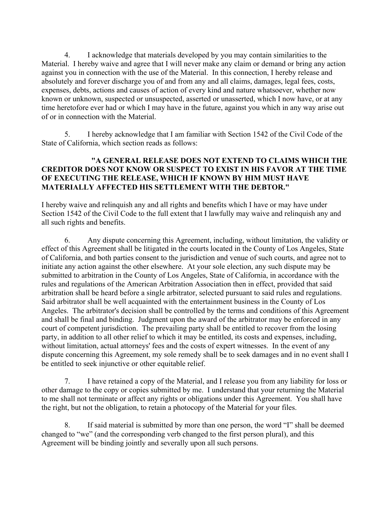4. I acknowledge that materials developed by you may contain similarities to the Material. I hereby waive and agree that I will never make any claim or demand or bring any action against you in connection with the use of the Material. In this connection, I hereby release and absolutely and forever discharge you of and from any and all claims, damages, legal fees, costs, expenses, debts, actions and causes of action of every kind and nature whatsoever, whether now known or unknown, suspected or unsuspected, asserted or unasserted, which I now have, or at any time heretofore ever had or which I may have in the future, against you which in any way arise out of or in connection with the Material.

5. I hereby acknowledge that I am familiar with Section 1542 of the Civil Code of the State of California, which section reads as follows:

## **"A GENERAL RELEASE DOES NOT EXTEND TO CLAIMS WHICH THE CREDITOR DOES NOT KNOW OR SUSPECT TO EXIST IN HIS FAVOR AT THE TIME OF EXECUTING THE RELEASE, WHICH IF KNOWN BY HIM MUST HAVE MATERIALLY AFFECTED HIS SETTLEMENT WITH THE DEBTOR."**

I hereby waive and relinquish any and all rights and benefits which I have or may have under Section 1542 of the Civil Code to the full extent that I lawfully may waive and relinquish any and all such rights and benefits.

6. Any dispute concerning this Agreement, including, without limitation, the validity or effect of this Agreement shall be litigated in the courts located in the County of Los Angeles, State of California, and both parties consent to the jurisdiction and venue of such courts, and agree not to initiate any action against the other elsewhere. At your sole election, any such dispute may be submitted to arbitration in the County of Los Angeles, State of California, in accordance with the rules and regulations of the American Arbitration Association then in effect, provided that said arbitration shall be heard before a single arbitrator, selected pursuant to said rules and regulations. Said arbitrator shall be well acquainted with the entertainment business in the County of Los Angeles. The arbitrator's decision shall be controlled by the terms and conditions of this Agreement and shall be final and binding. Judgment upon the award of the arbitrator may be enforced in any court of competent jurisdiction. The prevailing party shall be entitled to recover from the losing party, in addition to all other relief to which it may be entitled, its costs and expenses, including, without limitation, actual attorneys' fees and the costs of expert witnesses. In the event of any dispute concerning this Agreement, my sole remedy shall be to seek damages and in no event shall I be entitled to seek injunctive or other equitable relief.

7. I have retained a copy of the Material, and I release you from any liability for loss or other damage to the copy or copies submitted by me. I understand that your returning the Material to me shall not terminate or affect any rights or obligations under this Agreement. You shall have the right, but not the obligation, to retain a photocopy of the Material for your files.

8. If said material is submitted by more than one person, the word "I" shall be deemed changed to "we" (and the corresponding verb changed to the first person plural), and this Agreement will be binding jointly and severally upon all such persons.